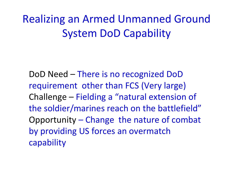Realizing an Armed Unmanned Ground System DoD Capability

DoD Need – There is no recognized DoD requirement other than FCS (Very large) Challenge – Fielding <sup>a</sup> "natural extension of the soldier/marines reach on the battlefield" Opportunity – Change the nature of combat by providing US forces an overmatch capability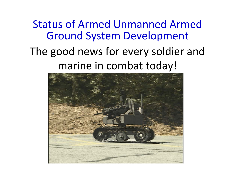## The good news for every soldier and marine in combat today! Status of Armed Unmanned Armed Ground System Development

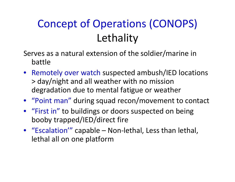# Concept of Operations (CONOPS) **Lethality**

Serves as a natural extension of the soldier/marine in battle

- Remotely over watch suspected ambush/IED locations > day/night and all weather with no mission degradation due to mental fatigue or weather
- "Point man" during squad recon/movement to contact
- "First in" to buildings or doors suspected on being booby trapped/IED/direct fire
- "Escalation'" capable Non‐lethal, Less than lethal, lethal all on one platform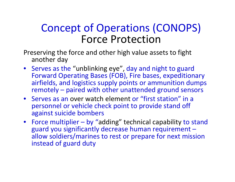#### Concept of Operations (CONOPS) Force Protection

Preserving the force and other high value assets to fight another day

- Serves as the "unblinking eye", day and night to guard Forward Operating Bases (FOB), Fire bases, expeditionary airfields, and logistics supply points or ammunition dumps remotely – paired with other unattended ground sensors
- Serves as an over watch element or "first station" in <sup>a</sup> personnel or vehicle check point to provide stand off against suicide bombers
- Force multiplier by "adding" technical capability to stand guard you significantly decrease human requirement – allow soldiers/marines to rest or prepare for next mission instead of guard duty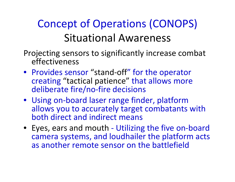## Concept of Operations (CONOPS) Situational Awareness

- Projecting sensors to significantly increase combat effectiveness
- Provides sensor "stand‐off" for the operator creating "tactical patience" that allows more deliberate fire/no‐fire decisions
- Using on‐board laser range finder, platform allows you to accurately target combatants with both direct and indirect means
- Eyes, ears and mouth ‐ Utilizing the five on‐board camera systems, and loudhailer the platform acts as another remote sensor on the battlefield